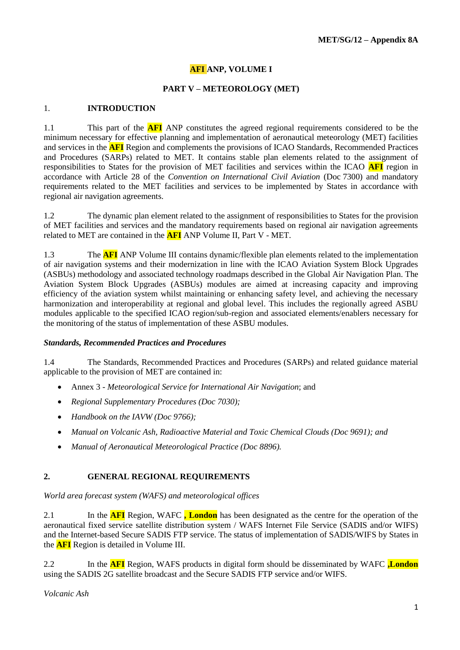## **AFI ANP, VOLUME I**

### **PART V – METEOROLOGY (MET)**

#### 1. **INTRODUCTION**

1.1 This part of the **AFI** ANP constitutes the agreed regional requirements considered to be the minimum necessary for effective planning and implementation of aeronautical meteorology (MET) facilities and services in the **AFI** Region and complements the provisions of ICAO Standards, Recommended Practices and Procedures (SARPs) related to MET. It contains stable plan elements related to the assignment of responsibilities to States for the provision of MET facilities and services within the ICAO **AFI** region in accordance with Article 28 of the *Convention on International Civil Aviation* (Doc 7300) and mandatory requirements related to the MET facilities and services to be implemented by States in accordance with regional air navigation agreements.

1.2 The dynamic plan element related to the assignment of responsibilities to States for the provision of MET facilities and services and the mandatory requirements based on regional air navigation agreements related to MET are contained in the **AFI** ANP Volume II, Part V - MET.

1.3 The **AFI** ANP Volume III contains dynamic/flexible plan elements related to the implementation of air navigation systems and their modernization in line with the ICAO Aviation System Block Upgrades (ASBUs) methodology and associated technology roadmaps described in the Global Air Navigation Plan. The Aviation System Block Upgrades (ASBUs) modules are aimed at increasing capacity and improving efficiency of the aviation system whilst maintaining or enhancing safety level, and achieving the necessary harmonization and interoperability at regional and global level. This includes the regionally agreed ASBU modules applicable to the specified ICAO region/sub-region and associated elements/enablers necessary for the monitoring of the status of implementation of these ASBU modules.

#### *Standards, Recommended Practices and Procedures*

1.4 The Standards, Recommended Practices and Procedures (SARPs) and related guidance material applicable to the provision of MET are contained in:

- Annex 3 *Meteorological Service for International Air Navigation*; and
- *Regional Supplementary Procedures (Doc 7030);*
- *Handbook on the IAVW (Doc 9766);*
- *Manual on Volcanic Ash, Radioactive Material and Toxic Chemical Clouds (Doc 9691); and*
- *Manual of Aeronautical Meteorological Practice (Doc 8896).*

#### **2. GENERAL REGIONAL REQUIREMENTS**

*World area forecast system (WAFS) and meteorological offices*

2.1 In the **AFI** Region, WAFC **, London** has been designated as the centre for the operation of the aeronautical fixed service satellite distribution system / WAFS Internet File Service (SADIS and/or WIFS) and the Internet-based Secure SADIS FTP service. The status of implementation of SADIS/WIFS by States in the **AFI** Region is detailed in Volume III.

2.2 In the **AFI** Region, WAFS products in digital form should be disseminated by WAFC **,London** using the SADIS 2G satellite broadcast and the Secure SADIS FTP service and/or WIFS.

*Volcanic Ash*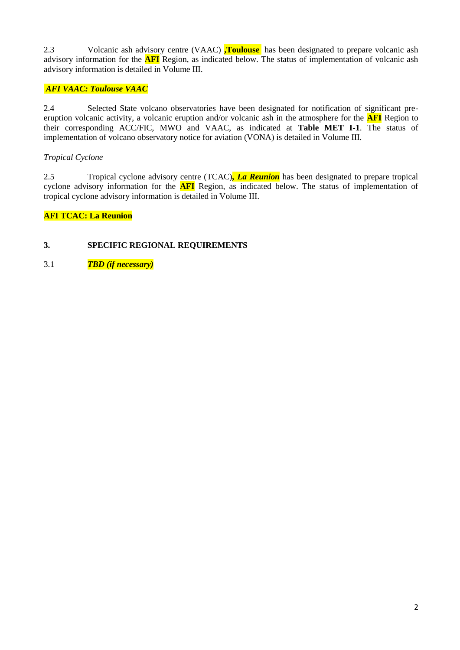2.3 Volcanic ash advisory centre (VAAC) **,Toulouse** has been designated to prepare volcanic ash advisory information for the **AFI** Region, as indicated below. The status of implementation of volcanic ash advisory information is detailed in Volume III.

## *AFI VAAC: Toulouse VAAC*

2.4 Selected State volcano observatories have been designated for notification of significant preeruption volcanic activity, a volcanic eruption and/or volcanic ash in the atmosphere for the **AFI** Region to their corresponding ACC/FIC, MWO and VAAC, as indicated at **Table MET I-1**. The status of implementation of volcano observatory notice for aviation (VONA) is detailed in Volume III.

## *Tropical Cyclone*

2.5 Tropical cyclone advisory centre (TCAC)*, La Reunion* has been designated to prepare tropical cyclone advisory information for the **AFI** Region, as indicated below. The status of implementation of tropical cyclone advisory information is detailed in Volume III.

**AFI TCAC: La Reunion**

## **3. SPECIFIC REGIONAL REQUIREMENTS**

3.1 *TBD (if necessary)*